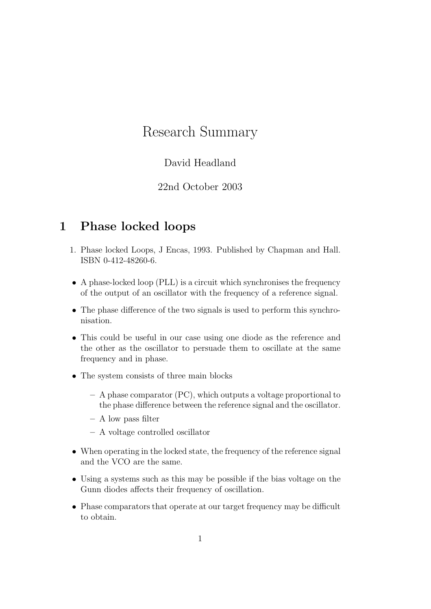# Research Summary

### David Headland

#### 22nd October 2003

## 1 Phase locked loops

- 1. Phase locked Loops, J Encas, 1993. Published by Chapman and Hall. ISBN 0-412-48260-6.
- A phase-locked loop (PLL) is a circuit which synchronises the frequency of the output of an oscillator with the frequency of a reference signal.
- The phase difference of the two signals is used to perform this synchronisation.
- This could be useful in our case using one diode as the reference and the other as the oscillator to persuade them to oscillate at the same frequency and in phase.
- The system consists of three main blocks
	- A phase comparator (PC), which outputs a voltage proportional to the phase difference between the reference signal and the oscillator.
	- A low pass filter
	- A voltage controlled oscillator
- When operating in the locked state, the frequency of the reference signal and the VCO are the same.
- Using a systems such as this may be possible if the bias voltage on the Gunn diodes affects their frequency of oscillation.
- Phase comparators that operate at our target frequency may be difficult to obtain.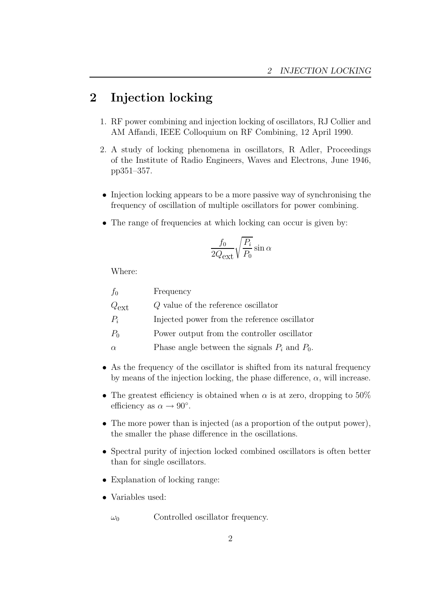# 2 Injection locking

- 1. RF power combining and injection locking of oscillators, RJ Collier and AM Affandi, IEEE Colloquium on RF Combining, 12 April 1990.
- 2. A study of locking phenomena in oscillators, R Adler, Proceedings of the Institute of Radio Engineers, Waves and Electrons, June 1946, pp351–357.
- Injection locking appears to be a more passive way of synchronising the frequency of oscillation of multiple oscillators for power combining.
- The range of frequencies at which locking can occur is given by:

$$
\frac{f_0}{2Q_{\text{ext}}}\sqrt{\frac{P_i}{P_0}}\sin\alpha
$$

Where:

| Frequency                                         |
|---------------------------------------------------|
| Q value of the reference oscillator               |
| Injected power from the reference oscillator      |
| Power output from the controller oscillator       |
| Phase angle between the signals $P_i$ and $P_0$ . |
|                                                   |

- As the frequency of the oscillator is shifted from its natural frequency by means of the injection locking, the phase difference,  $\alpha$ , will increase.
- The greatest efficiency is obtained when  $\alpha$  is at zero, dropping to 50% efficiency as  $\alpha \to 90^{\circ}$ .
- The more power than is injected (as a proportion of the output power). the smaller the phase difference in the oscillations.
- Spectral purity of injection locked combined oscillators is often better than for single oscillators.
- Explanation of locking range:
- Variables used:
	- $\omega_0$  Controlled oscillator frequency.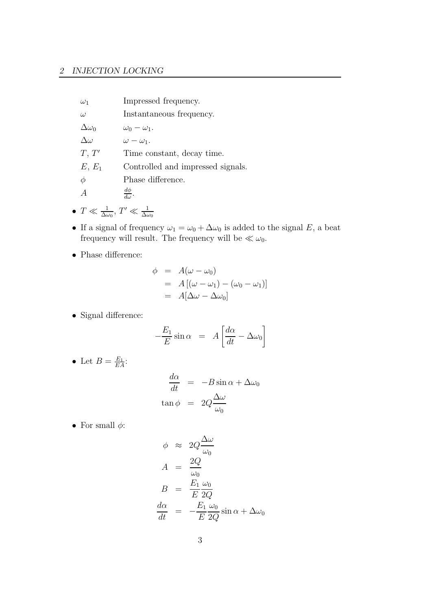#### 2 INJECTION LOCKING

| $\omega_1$       | Impressed frequency.              |
|------------------|-----------------------------------|
| $\omega$         | Instantaneous frequency.          |
| $\Delta\omega_0$ | $\omega_0 - \omega_1$ .           |
| $\Delta\omega$   | $\omega - \omega_1$ .             |
| T, T'            | Time constant, decay time.        |
| $E, E_1$         | Controlled and impressed signals. |
| $\phi$           | Phase difference.                 |
|                  | $d\phi$                           |

- $T \ll \frac{1}{\Delta\omega_0}$ ,  $T' \ll \frac{1}{\Delta\omega_0}$
- If a signal of frequency  $\omega_1 = \omega_0 + \Delta \omega_0$  is added to the signal E, a beat frequency will result. The frequency will be  $\ll \omega_0$ .
- $\bullet\,$  Phase difference:

$$
\begin{array}{rcl}\n\phi & = & A(\omega - \omega_0) \\
& = & A\left[ (\omega - \omega_1) - (\omega_0 - \omega_1) \right] \\
& = & A[\Delta\omega - \Delta\omega_0]\n\end{array}
$$

• Signal difference:

$$
-\frac{E_1}{E}\sin\alpha = A\left[\frac{d\alpha}{dt} - \Delta\omega_0\right]
$$

• Let  $B = \frac{E_1}{E_2}$  $\frac{E_1}{EA}$ :

$$
\frac{d\alpha}{dt} = -B\sin\alpha + \Delta\omega_0
$$
  
\n
$$
\tan\phi = 2Q\frac{\Delta\omega}{\omega_0}
$$

 $\bullet\,$  For small  $\phi\colon$ 

$$
\phi \approx 2Q \frac{\Delta \omega}{\omega_0}
$$
  
\n
$$
A = \frac{2Q}{\omega_0}
$$
  
\n
$$
B = \frac{E_1}{E} \frac{\omega_0}{2Q}
$$
  
\n
$$
\frac{d\alpha}{dt} = -\frac{E_1}{E} \frac{\omega_0}{2Q} \sin \alpha + \Delta \omega_0
$$